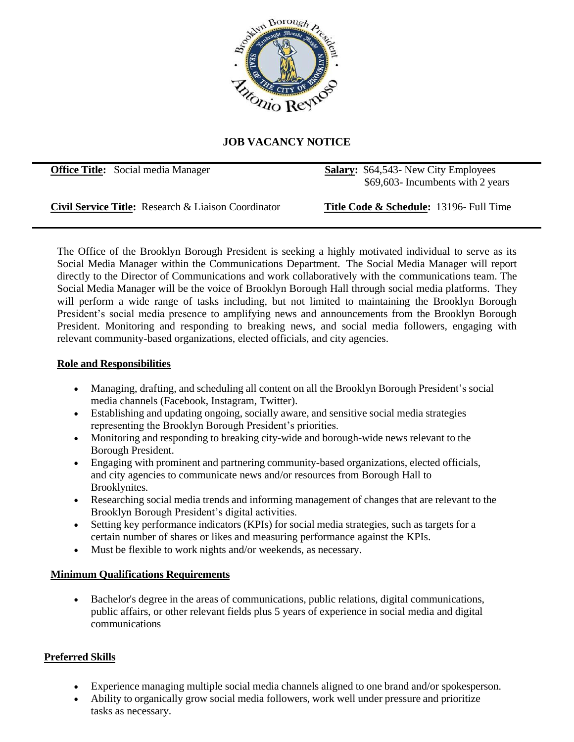

## **JOB VACANCY NOTICE**

**Office Title:** Social media Manager **Salary:** \$64,543- New City Employees \$69,603- Incumbents with 2 years

**Civil Service Title:** Research & Liaison Coordinator **Title Code & Schedule:** 13196- Full Time

The Office of the Brooklyn Borough President is seeking a highly motivated individual to serve as its Social Media Manager within the Communications Department. The Social Media Manager will report directly to the Director of Communications and work collaboratively with the communications team. The Social Media Manager will be the voice of Brooklyn Borough Hall through social media platforms. They will perform a wide range of tasks including, but not limited to maintaining the Brooklyn Borough President's social media presence to amplifying news and announcements from the Brooklyn Borough President. Monitoring and responding to breaking news, and social media followers, engaging with relevant community-based organizations, elected officials, and city agencies.

## **Role and Responsibilities**

- Managing, drafting, and scheduling all content on all the Brooklyn Borough President's social media channels (Facebook, Instagram, Twitter).
- Establishing and updating ongoing, socially aware, and sensitive social media strategies representing the Brooklyn Borough President's priorities.
- Monitoring and responding to breaking city-wide and borough-wide news relevant to the Borough President.
- Engaging with prominent and partnering community-based organizations, elected officials, and city agencies to communicate news and/or resources from Borough Hall to Brooklynites.
- Researching social media trends and informing management of changes that are relevant to the Brooklyn Borough President's digital activities.
- Setting key performance indicators (KPIs) for social media strategies, such as targets for a certain number of shares or likes and measuring performance against the KPIs.
- Must be flexible to work nights and/or weekends, as necessary.

## **Minimum Qualifications Requirements**

• Bachelor's degree in the areas of communications, public relations, digital communications, public affairs, or other relevant fields plus 5 years of experience in social media and digital communications

## **Preferred Skills**

- Experience managing multiple social media channels aligned to one brand and/or spokesperson.
- Ability to organically grow social media followers, work well under pressure and prioritize tasks as necessary.